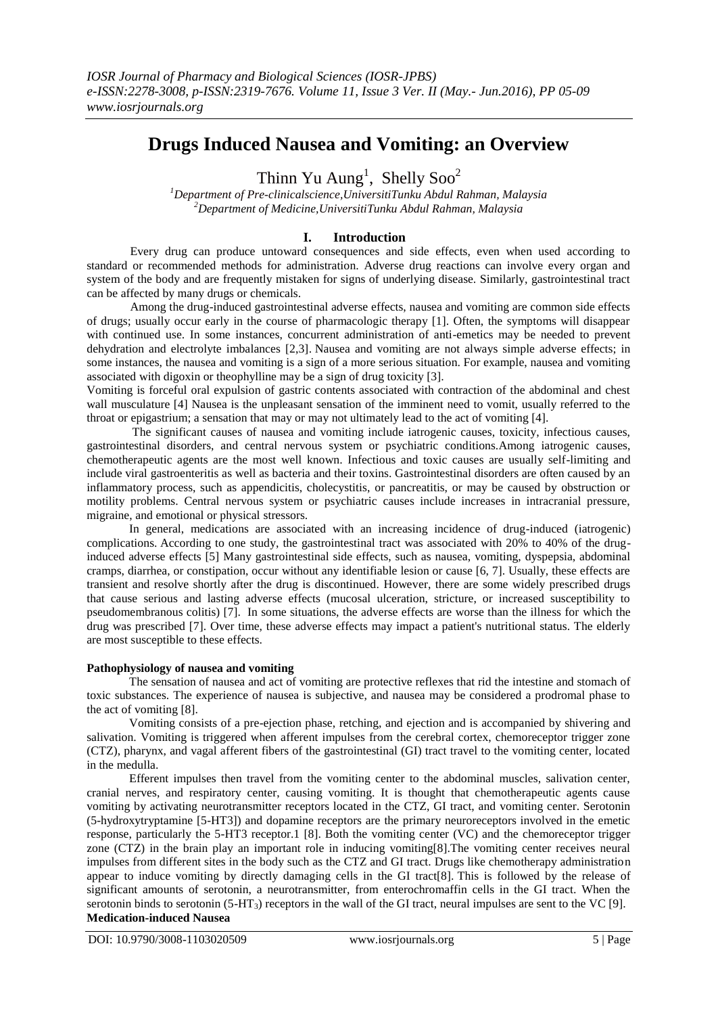# **Drugs Induced Nausea and Vomiting: an Overview**

Thinn Yu Aung<sup>1</sup>, Shelly Soo<sup>2</sup>

*<sup>1</sup>Department of Pre-clinicalscience,UniversitiTunku Abdul Rahman, Malaysia <sup>2</sup>Department of Medicine,UniversitiTunku Abdul Rahman, Malaysia*

## **I. Introduction**

Every drug can produce untoward consequences and side effects, even when used according to standard or recommended methods for administration. Adverse drug reactions can involve every organ and system of the body and are frequently mistaken for signs of underlying disease. Similarly, gastrointestinal tract can be affected by many drugs or chemicals.

Among the drug-induced gastrointestinal adverse effects, nausea and vomiting are common side effects of drugs; usually occur early in the course of pharmacologic therapy [1]. Often, the symptoms will disappear with continued use. In some instances, concurrent administration of anti-emetics may be needed to prevent dehydration and electrolyte imbalances [2,3]. Nausea and vomiting are not always simple adverse effects; in some instances, the nausea and vomiting is a sign of a more serious situation. For example, nausea and vomiting associated with digoxin or theophylline may be a sign of drug toxicity [3].

Vomiting is forceful oral expulsion of gastric contents associated with contraction of the abdominal and chest wall musculature [4] Nausea is the unpleasant sensation of the imminent need to vomit, usually referred to the throat or epigastrium; a sensation that may or may not ultimately lead to the act of vomiting [4].

The significant causes of nausea and vomiting include iatrogenic causes, toxicity, infectious causes, gastrointestinal disorders, and central nervous system or psychiatric conditions.Among iatrogenic causes, chemotherapeutic agents are the most well known. Infectious and toxic causes are usually self-limiting and include viral gastroenteritis as well as bacteria and their toxins. Gastrointestinal disorders are often caused by an inflammatory process, such as appendicitis, cholecystitis, or pancreatitis, or may be caused by obstruction or motility problems. Central nervous system or psychiatric causes include increases in intracranial pressure, migraine, and emotional or physical stressors.

In general, medications are associated with an increasing incidence of drug-induced (iatrogenic) complications. According to one study, the gastrointestinal tract was associated with 20% to 40% of the druginduced adverse effects [5] Many gastrointestinal side effects, such as nausea, vomiting, dyspepsia, abdominal cramps, diarrhea, or constipation, occur without any identifiable lesion or cause [6, 7]. Usually, these effects are transient and resolve shortly after the drug is discontinued. However, there are some widely prescribed drugs that cause serious and lasting adverse effects (mucosal ulceration, stricture, or increased susceptibility to pseudomembranous colitis) [7]. In some situations, the adverse effects are worse than the illness for which the drug was prescribed [7]. Over time, these adverse effects may impact a patient's nutritional status. The elderly are most susceptible to these effects.

#### **Pathophysiology of nausea and vomiting**

The sensation of nausea and act of vomiting are protective reflexes that rid the intestine and stomach of toxic substances. The experience of nausea is subjective, and nausea may be considered a prodromal phase to the act of vomiting [8].

Vomiting consists of a pre-ejection phase, retching, and ejection and is accompanied by shivering and salivation. Vomiting is triggered when afferent impulses from the cerebral cortex, chemoreceptor trigger zone (CTZ), pharynx, and vagal afferent fibers of the gastrointestinal (GI) tract travel to the vomiting center, located in the medulla.

Efferent impulses then travel from the vomiting center to the abdominal muscles, salivation center, cranial nerves, and respiratory center, causing vomiting. It is thought that chemotherapeutic agents cause vomiting by activating neurotransmitter receptors located in the CTZ, GI tract, and vomiting center. Serotonin (5-hydroxytryptamine [5-HT3]) and dopamine receptors are the primary neuroreceptors involved in the emetic response, particularly the 5-HT3 receptor.1 [8]. Both the vomiting center (VC) and the chemoreceptor trigger zone (CTZ) in the brain play an important role in inducing vomiting[8].The vomiting center receives neural impulses from different sites in the body such as the CTZ and GI tract. Drugs like chemotherapy administration appear to induce vomiting by directly damaging cells in the GI tract[8]. This is followed by the release of significant amounts of serotonin, a neurotransmitter, from enterochromaffin cells in the GI tract. When the serotonin binds to serotonin  $(5-HT_3)$  receptors in the wall of the GI tract, neural impulses are sent to the VC [9]. **Medication-induced Nausea**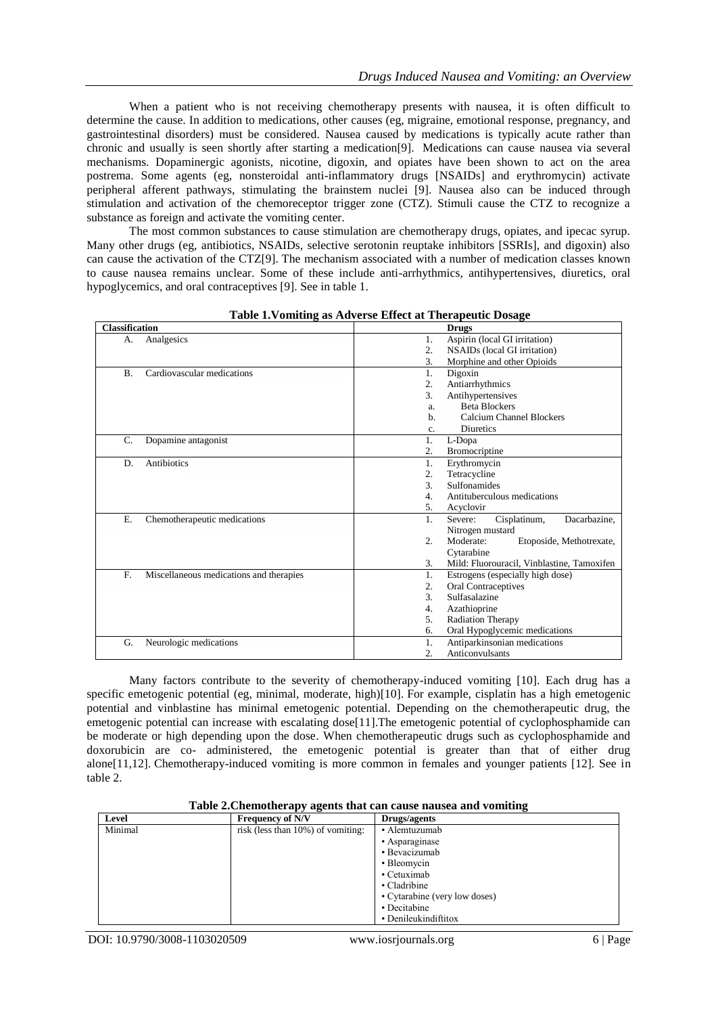When a patient who is not receiving chemotherapy presents with nausea, it is often difficult to determine the cause. In addition to medications, other causes (eg, migraine, emotional response, pregnancy, and gastrointestinal disorders) must be considered. Nausea caused by medications is typically acute rather than chronic and usually is seen shortly after starting a medication[9]. Medications can cause nausea via several mechanisms. Dopaminergic agonists, nicotine, digoxin, and opiates have been shown to act on the area postrema. Some agents (eg, nonsteroidal anti-inflammatory drugs [NSAIDs] and erythromycin) activate peripheral afferent pathways, stimulating the brainstem nuclei [9]. Nausea also can be induced through stimulation and activation of the chemoreceptor trigger zone (CTZ). Stimuli cause the CTZ to recognize a substance as foreign and activate the vomiting center.

The most common substances to cause stimulation are chemotherapy drugs, opiates, and ipecac syrup. Many other drugs (eg, antibiotics, NSAIDs, selective serotonin reuptake inhibitors [SSRIs], and digoxin) also can cause the activation of the CTZ[9]. The mechanism associated with a number of medication classes known to cause nausea remains unclear. Some of these include anti-arrhythmics, antihypertensives, diuretics, oral hypoglycemics, and oral contraceptives [9]. See in table 1.

| <b>Classification</b>                         | <b>Drugs</b>                                              |
|-----------------------------------------------|-----------------------------------------------------------|
| Analgesics<br>А.                              | Aspirin (local GI irritation)<br>1.                       |
|                                               | $\overline{2}$ .<br>NSAIDs (local GI irritation)          |
|                                               | 3.<br>Morphine and other Opioids                          |
| Cardiovascular medications<br><b>B.</b>       | 1.<br>Digoxin                                             |
|                                               | $\overline{2}$ .<br>Antiarrhythmics                       |
|                                               | 3.<br>Antihypertensives                                   |
|                                               | <b>Beta Blockers</b><br>a.                                |
|                                               | Calcium Channel Blockers<br>b.                            |
|                                               | <b>Diuretics</b><br>c.                                    |
| Dopamine antagonist<br>C.                     | 1.<br>L-Dopa                                              |
|                                               | 2.<br>Bromocriptine                                       |
| Antibiotics<br>D.                             | 1.<br>Erythromycin                                        |
|                                               | 2.<br>Tetracycline                                        |
|                                               | 3.<br><b>Sulfonamides</b>                                 |
|                                               | Antituberculous medications<br>4.                         |
|                                               | 5.<br>Acyclovir                                           |
| Ε.<br>Chemotherapeutic medications            | Cisplatinum,<br>Dacarbazine,<br>1.<br>Severe:             |
|                                               | Nitrogen mustard                                          |
|                                               | $\overline{2}$ .<br>Moderate:<br>Etoposide, Methotrexate, |
|                                               | Cytarabine                                                |
|                                               | Mild: Fluorouracil, Vinblastine, Tamoxifen<br>3.          |
| F.<br>Miscellaneous medications and therapies | 1.<br>Estrogens (especially high dose)                    |
|                                               | 2.<br>Oral Contraceptives                                 |
|                                               | 3.<br>Sulfasalazine                                       |
|                                               | Azathioprine<br>4.                                        |
|                                               | 5.<br>Radiation Therapy                                   |
|                                               | Oral Hypoglycemic medications<br>6.                       |
| Neurologic medications<br>G.                  | Antiparkinsonian medications<br>1.                        |
|                                               | $\overline{2}$ .<br>Anticonvulsants                       |

**Table 1.Vomiting as Adverse Effect at Therapeutic Dosage**

Many factors contribute to the severity of chemotherapy-induced vomiting [10]. Each drug has a specific emetogenic potential (eg, minimal, moderate, high)[10]. For example, cisplatin has a high emetogenic potential and vinblastine has minimal emetogenic potential. Depending on the chemotherapeutic drug, the emetogenic potential can increase with escalating dose[11].The emetogenic potential of cyclophosphamide can be moderate or high depending upon the dose. When chemotherapeutic drugs such as cyclophosphamide and doxorubicin are co- administered, the emetogenic potential is greater than that of either drug alone[11,12]. Chemotherapy-induced vomiting is more common in females and younger patients [12]. See in table 2.

|  | Table 2. Chemotherapy agents that can cause nausea and vomiting |
|--|-----------------------------------------------------------------|
|  |                                                                 |

| Level   | <b>Frequency of N/V</b>           | Drugs/agents                  |  |
|---------|-----------------------------------|-------------------------------|--|
| Minimal | risk (less than 10%) of vomiting: | • Alemtuzumab                 |  |
|         |                                   | • Asparaginase                |  |
|         |                                   | • Bevacizumab                 |  |
|         |                                   | • Bleomycin                   |  |
|         |                                   | • Cetuximab                   |  |
|         |                                   | • Cladribine                  |  |
|         |                                   | • Cytarabine (very low doses) |  |
|         |                                   | • Decitabine                  |  |
|         |                                   | • Denileukindiftitox          |  |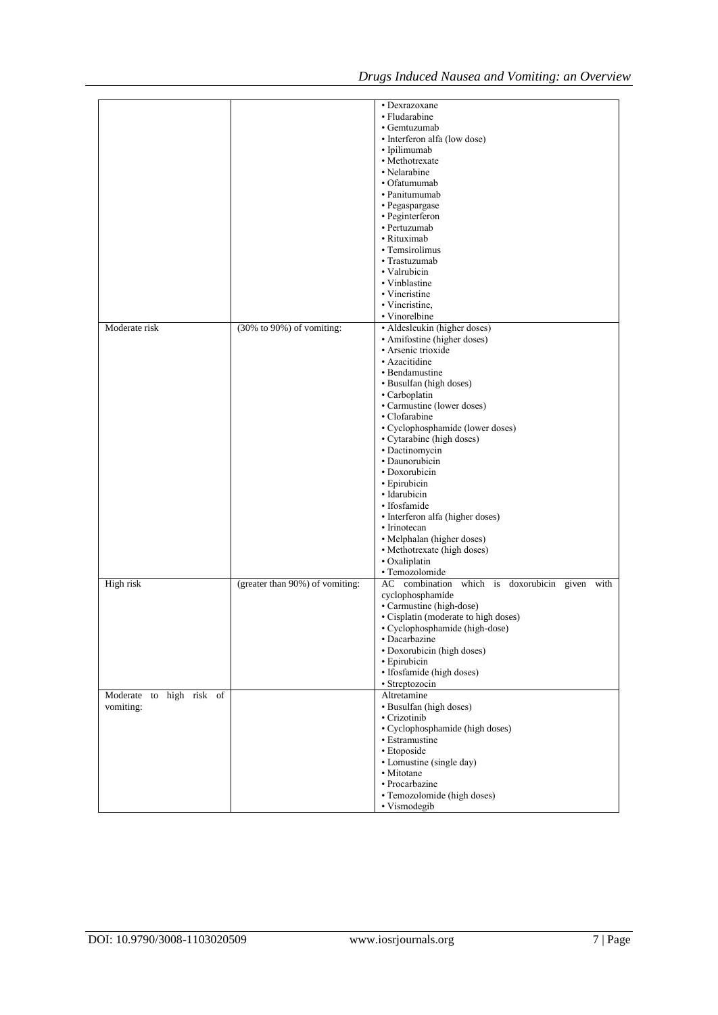|                          |                                 | • Dexrazoxane                                  |
|--------------------------|---------------------------------|------------------------------------------------|
|                          |                                 | • Fludarabine                                  |
|                          |                                 | • Gemtuzumab                                   |
|                          |                                 | • Interferon alfa (low dose)                   |
|                          |                                 | • Ipilimumab                                   |
|                          |                                 | • Methotrexate                                 |
|                          |                                 |                                                |
|                          |                                 | • Nelarabine                                   |
|                          |                                 | • Ofatumumab                                   |
|                          |                                 | • Panitumumab                                  |
|                          |                                 | • Pegaspargase                                 |
|                          |                                 | · Peginterferon                                |
|                          |                                 | • Pertuzumab                                   |
|                          |                                 | • Rituximab                                    |
|                          |                                 | • Temsirolimus                                 |
|                          |                                 |                                                |
|                          |                                 | • Trastuzumab                                  |
|                          |                                 | • Valrubicin                                   |
|                          |                                 | • Vinblastine                                  |
|                          |                                 | • Vincristine                                  |
|                          |                                 | • Vincristine,                                 |
|                          |                                 | • Vinorelbine                                  |
| Moderate risk            | (30% to 90%) of vomiting:       | · Aldesleukin (higher doses)                   |
|                          |                                 | • Amifostine (higher doses)                    |
|                          |                                 |                                                |
|                          |                                 | · Arsenic trioxide                             |
|                          |                                 | • Azacitidine                                  |
|                          |                                 | • Bendamustine                                 |
|                          |                                 | • Busulfan (high doses)                        |
|                          |                                 | • Carboplatin                                  |
|                          |                                 | • Carmustine (lower doses)                     |
|                          |                                 | • Clofarabine                                  |
|                          |                                 | • Cyclophosphamide (lower doses)               |
|                          |                                 |                                                |
|                          |                                 | • Cytarabine (high doses)                      |
|                          |                                 | • Dactinomycin                                 |
|                          |                                 | · Daunorubicin                                 |
|                          |                                 | • Doxorubicin                                  |
|                          |                                 | • Epirubicin                                   |
|                          |                                 | • Idarubicin                                   |
|                          |                                 | · Ifosfamide                                   |
|                          |                                 |                                                |
|                          |                                 | · Interferon alfa (higher doses)               |
|                          |                                 | • Irinotecan                                   |
|                          |                                 | • Melphalan (higher doses)                     |
|                          |                                 | • Methotrexate (high doses)                    |
|                          |                                 | • Oxaliplatin                                  |
|                          |                                 | · Temozolomide                                 |
| High risk                | (greater than 90%) of vomiting: | AC combination which is doxorubicin given with |
|                          |                                 |                                                |
|                          |                                 | cyclophosphamide                               |
|                          |                                 | • Carmustine (high-dose)                       |
|                          |                                 | · Cisplatin (moderate to high doses)           |
|                          |                                 | • Cyclophosphamide (high-dose)                 |
|                          |                                 | · Dacarbazine                                  |
|                          |                                 | • Doxorubicin (high doses)                     |
|                          |                                 | • Epirubicin                                   |
|                          |                                 | · Ifosfamide (high doses)                      |
|                          |                                 | • Streptozocin                                 |
|                          |                                 |                                                |
| Moderate to high risk of |                                 | Altretamine                                    |
| vomiting:                |                                 | • Busulfan (high doses)                        |
|                          |                                 | • Crizotinib                                   |
|                          |                                 | • Cyclophosphamide (high doses)                |
|                          |                                 | • Estramustine                                 |
|                          |                                 | • Etoposide                                    |
|                          |                                 | • Lomustine (single day)                       |
|                          |                                 |                                                |
|                          |                                 | • Mitotane                                     |
|                          |                                 | • Procarbazine                                 |
|                          |                                 | · Temozolomide (high doses)                    |
|                          |                                 | • Vismodegib                                   |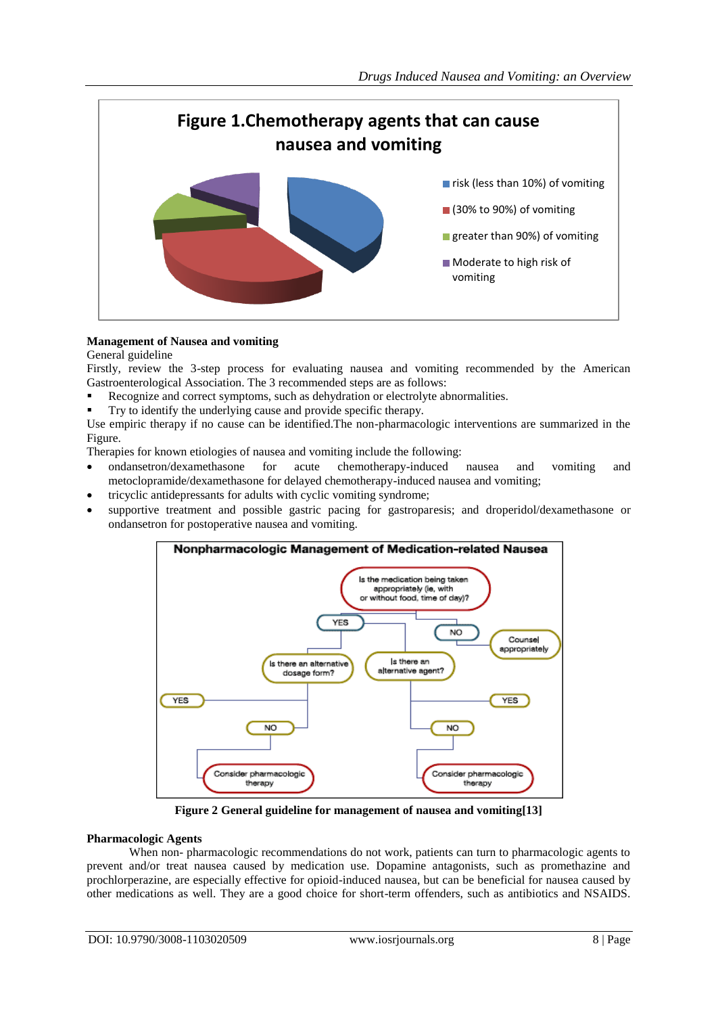

## **Management of Nausea and vomiting**

General guideline

Firstly, review the 3-step process for evaluating nausea and vomiting recommended by the American Gastroenterological Association. The 3 recommended steps are as follows:

- Recognize and correct symptoms, such as dehydration or electrolyte abnormalities.
- Try to identify the underlying cause and provide specific therapy.

Use empiric therapy if no cause can be identified.The non-pharmacologic interventions are summarized in the Figure.

Therapies for known etiologies of nausea and vomiting include the following:

- ondansetron/dexamethasone for acute chemotherapy-induced nausea and vomiting and metoclopramide/dexamethasone for delayed chemotherapy-induced nausea and vomiting;
- tricyclic antidepressants for adults with cyclic vomiting syndrome;
- supportive treatment and possible gastric pacing for gastroparesis; and droperidol/dexamethasone or ondansetron for postoperative nausea and vomiting.



**Figure 2 General guideline for management of nausea and vomiting[13]**

#### **Pharmacologic Agents**

When non- pharmacologic recommendations do not work, patients can turn to pharmacologic agents to prevent and/or treat nausea caused by medication use. Dopamine antagonists, such as promethazine and prochlorperazine, are especially effective for opioid-induced nausea, but can be beneficial for nausea caused by other medications as well. They are a good choice for short-term offenders, such as antibiotics and NSAIDS.